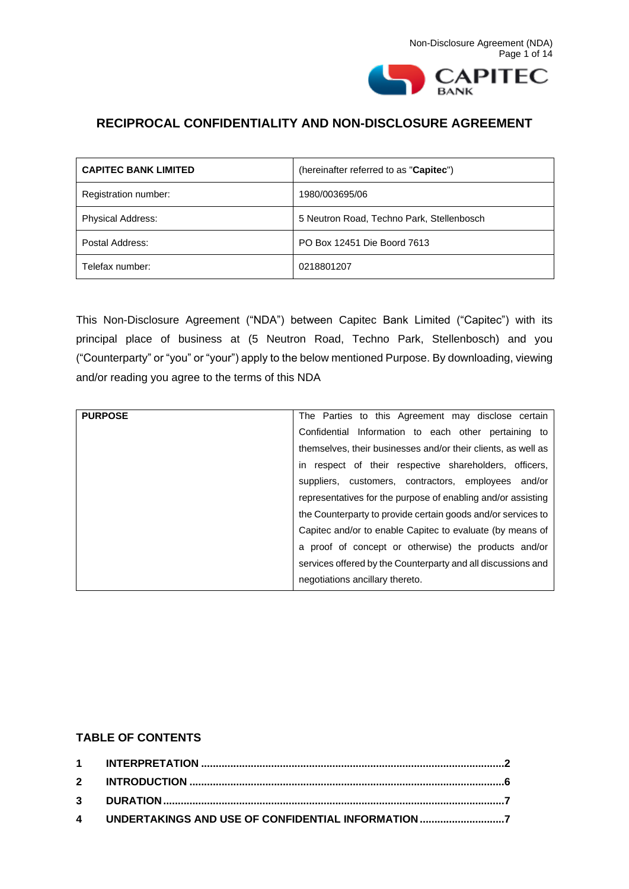

# **RECIPROCAL CONFIDENTIALITY AND NON-DISCLOSURE AGREEMENT**

| <b>CAPITEC BANK LIMITED</b> | (hereinafter referred to as "Capitec")    |
|-----------------------------|-------------------------------------------|
| Registration number:        | 1980/003695/06                            |
| <b>Physical Address:</b>    | 5 Neutron Road, Techno Park, Stellenbosch |
| Postal Address:             | PO Box 12451 Die Boord 7613               |
| Telefax number:             | 0218801207                                |

This Non-Disclosure Agreement ("NDA") between Capitec Bank Limited ("Capitec") with its principal place of business at (5 Neutron Road, Techno Park, Stellenbosch) and you ("Counterparty" or "you" or "your") apply to the below mentioned Purpose. By downloading, viewing and/or reading you agree to the terms of this NDA

| <b>PURPOSE</b> | The Parties to this Agreement may disclose certain            |
|----------------|---------------------------------------------------------------|
|                | Confidential Information to each other pertaining to          |
|                | themselves, their businesses and/or their clients, as well as |
|                | in respect of their respective shareholders, officers,        |
|                | suppliers, customers, contractors, employees and/or           |
|                | representatives for the purpose of enabling and/or assisting  |
|                | the Counterparty to provide certain goods and/or services to  |
|                | Capitec and/or to enable Capitec to evaluate (by means of     |
|                | a proof of concept or otherwise) the products and/or          |
|                | services offered by the Counterparty and all discussions and  |
|                | negotiations ancillary thereto.                               |

## **TABLE OF CONTENTS**

| 4 UNDERTAKINGS AND USE OF CONFIDENTIAL INFORMATION 7 |  |
|------------------------------------------------------|--|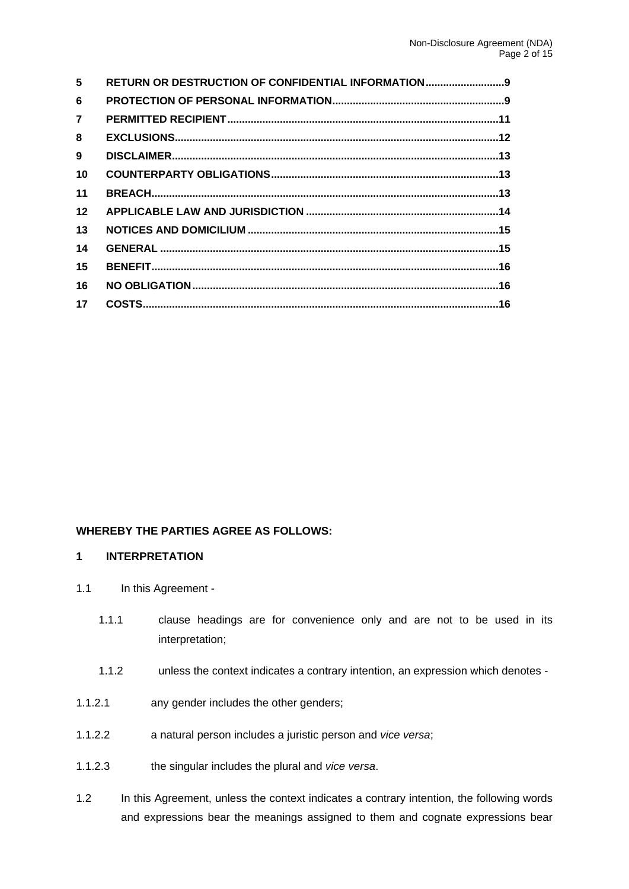| 5              | <b>RETURN OR DESTRUCTION OF CONFIDENTIAL INFORMATION9</b> |  |
|----------------|-----------------------------------------------------------|--|
| 6              |                                                           |  |
| $\overline{7}$ |                                                           |  |
| 8              |                                                           |  |
| 9              |                                                           |  |
| 10             |                                                           |  |
| 11             |                                                           |  |
| 12             |                                                           |  |
| 13             |                                                           |  |
| 14             |                                                           |  |
| 15             |                                                           |  |
| 16             |                                                           |  |
| 17             |                                                           |  |
|                |                                                           |  |

## **WHEREBY THE PARTIES AGREE AS FOLLOWS:**

#### <span id="page-1-0"></span>**1 INTERPRETATION**

- 1.1 In this Agreement -
	- 1.1.1 clause headings are for convenience only and are not to be used in its interpretation;
	- 1.1.2 unless the context indicates a contrary intention, an expression which denotes -
- 1.1.2.1 any gender includes the other genders;
- 1.1.2.2 a natural person includes a juristic person and *vice versa*;
- 1.1.2.3 the singular includes the plural and *vice versa*.
- 1.2 In this Agreement, unless the context indicates a contrary intention, the following words and expressions bear the meanings assigned to them and cognate expressions bear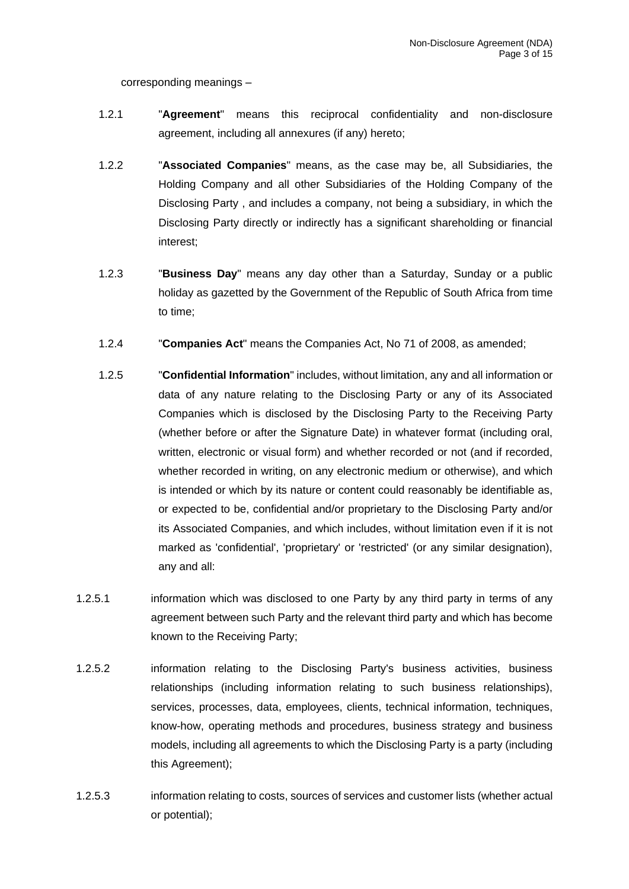corresponding meanings –

- 1.2.1 "**Agreement**" means this reciprocal confidentiality and non-disclosure agreement, including all annexures (if any) hereto;
- 1.2.2 "**Associated Companies**" means, as the case may be, all Subsidiaries, the Holding Company and all other Subsidiaries of the Holding Company of the Disclosing Party , and includes a company, not being a subsidiary, in which the Disclosing Party directly or indirectly has a significant shareholding or financial interest;
- 1.2.3 "**Business Day**" means any day other than a Saturday, Sunday or a public holiday as gazetted by the Government of the Republic of South Africa from time to time;
- 1.2.4 "**Companies Act**" means the Companies Act, No 71 of 2008, as amended;
- 1.2.5 "**Confidential Information**" includes, without limitation, any and all information or data of any nature relating to the Disclosing Party or any of its Associated Companies which is disclosed by the Disclosing Party to the Receiving Party (whether before or after the Signature Date) in whatever format (including oral, written, electronic or visual form) and whether recorded or not (and if recorded, whether recorded in writing, on any electronic medium or otherwise), and which is intended or which by its nature or content could reasonably be identifiable as, or expected to be, confidential and/or proprietary to the Disclosing Party and/or its Associated Companies, and which includes, without limitation even if it is not marked as 'confidential', 'proprietary' or 'restricted' (or any similar designation), any and all:
- 1.2.5.1 information which was disclosed to one Party by any third party in terms of any agreement between such Party and the relevant third party and which has become known to the Receiving Party;
- 1.2.5.2 information relating to the Disclosing Party's business activities, business relationships (including information relating to such business relationships), services, processes, data, employees, clients, technical information, techniques, know-how, operating methods and procedures, business strategy and business models, including all agreements to which the Disclosing Party is a party (including this Agreement);
- 1.2.5.3 information relating to costs, sources of services and customer lists (whether actual or potential);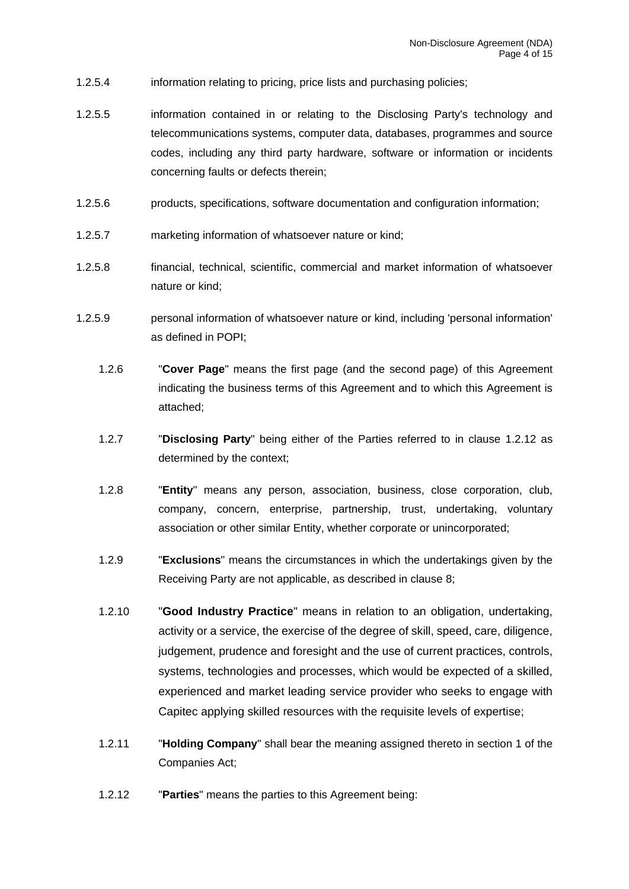- 1.2.5.4 information relating to pricing, price lists and purchasing policies;
- 1.2.5.5 information contained in or relating to the Disclosing Party's technology and telecommunications systems, computer data, databases, programmes and source codes, including any third party hardware, software or information or incidents concerning faults or defects therein;
- 1.2.5.6 products, specifications, software documentation and configuration information;
- 1.2.5.7 marketing information of whatsoever nature or kind;
- 1.2.5.8 financial, technical, scientific, commercial and market information of whatsoever nature or kind;
- <span id="page-3-0"></span>1.2.5.9 personal information of whatsoever nature or kind, including 'personal information' as defined in POPI;
	- 1.2.6 "**Cover Page**" means the first page (and the second page) of this Agreement indicating the business terms of this Agreement and to which this Agreement is attached;
	- 1.2.7 "**Disclosing Party**" being either of the Parties referred to in clause [1.2.12](#page-3-0) as determined by the context;
	- 1.2.8 "**Entity**" means any person, association, business, close corporation, club, company, concern, enterprise, partnership, trust, undertaking, voluntary association or other similar Entity, whether corporate or unincorporated;
	- 1.2.9 "**Exclusions**" means the circumstances in which the undertakings given by the Receiving Party are not applicable, as described in clause [8;](#page-11-0)
	- 1.2.10 "**Good Industry Practice**" means in relation to an obligation, undertaking, activity or a service, the exercise of the degree of skill, speed, care, diligence, judgement, prudence and foresight and the use of current practices, controls, systems, technologies and processes, which would be expected of a skilled, experienced and market leading service provider who seeks to engage with Capitec applying skilled resources with the requisite levels of expertise;
	- 1.2.11 "**Holding Company**" shall bear the meaning assigned thereto in section 1 of the Companies Act;
	- 1.2.12 "**Parties**" means the parties to this Agreement being: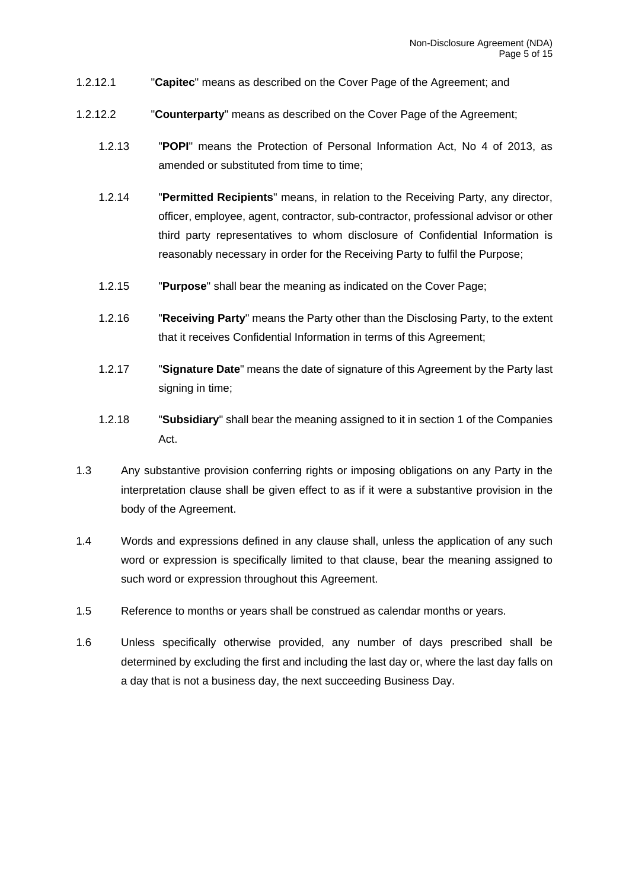- 1.2.12.1 "**Capitec**" means as described on the Cover Page of the Agreement; and
- 1.2.12.2 "**Counterparty**" means as described on the Cover Page of the Agreement;
	- 1.2.13 "**POPI**" means the Protection of Personal Information Act, No 4 of 2013, as amended or substituted from time to time;
	- 1.2.14 "**Permitted Recipients**" means, in relation to the Receiving Party, any director, officer, employee, agent, contractor, sub-contractor, professional advisor or other third party representatives to whom disclosure of Confidential Information is reasonably necessary in order for the Receiving Party to fulfil the Purpose;
	- 1.2.15 "**Purpose**" shall bear the meaning as indicated on the Cover Page;
	- 1.2.16 "**Receiving Party**" means the Party other than the Disclosing Party, to the extent that it receives Confidential Information in terms of this Agreement;
	- 1.2.17 "**Signature Date**" means the date of signature of this Agreement by the Party last signing in time;
	- 1.2.18 "**Subsidiary**" shall bear the meaning assigned to it in section 1 of the Companies Act.
- 1.3 Any substantive provision conferring rights or imposing obligations on any Party in the interpretation clause shall be given effect to as if it were a substantive provision in the body of the Agreement.
- 1.4 Words and expressions defined in any clause shall, unless the application of any such word or expression is specifically limited to that clause, bear the meaning assigned to such word or expression throughout this Agreement.
- 1.5 Reference to months or years shall be construed as calendar months or years.
- 1.6 Unless specifically otherwise provided, any number of days prescribed shall be determined by excluding the first and including the last day or, where the last day falls on a day that is not a business day, the next succeeding Business Day.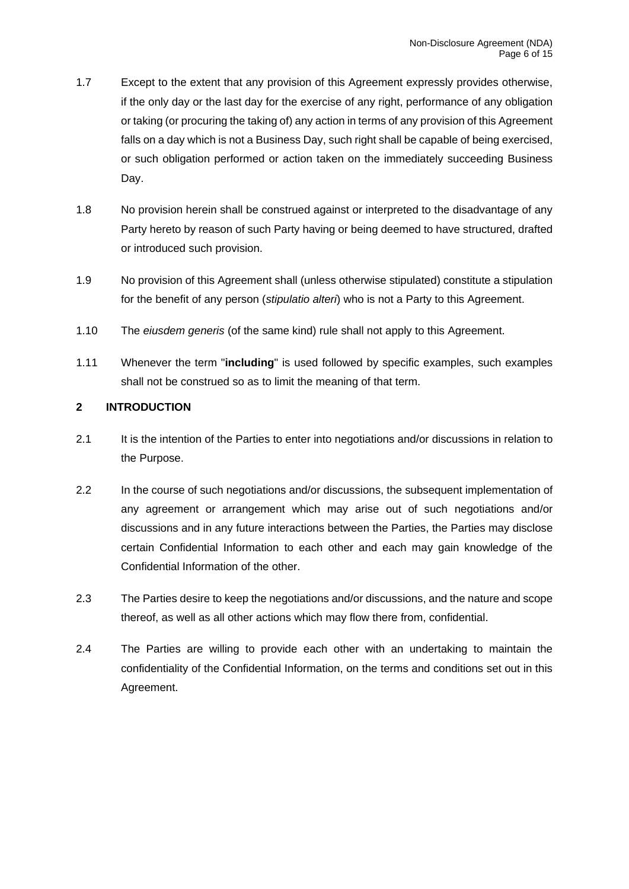- 1.7 Except to the extent that any provision of this Agreement expressly provides otherwise, if the only day or the last day for the exercise of any right, performance of any obligation or taking (or procuring the taking of) any action in terms of any provision of this Agreement falls on a day which is not a Business Day, such right shall be capable of being exercised, or such obligation performed or action taken on the immediately succeeding Business Day.
- 1.8 No provision herein shall be construed against or interpreted to the disadvantage of any Party hereto by reason of such Party having or being deemed to have structured, drafted or introduced such provision.
- 1.9 No provision of this Agreement shall (unless otherwise stipulated) constitute a stipulation for the benefit of any person (*stipulatio alteri*) who is not a Party to this Agreement.
- 1.10 The *eiusdem generis* (of the same kind) rule shall not apply to this Agreement.
- 1.11 Whenever the term "**including**" is used followed by specific examples, such examples shall not be construed so as to limit the meaning of that term.

## <span id="page-5-0"></span>**2 INTRODUCTION**

- 2.1 It is the intention of the Parties to enter into negotiations and/or discussions in relation to the Purpose.
- 2.2 In the course of such negotiations and/or discussions, the subsequent implementation of any agreement or arrangement which may arise out of such negotiations and/or discussions and in any future interactions between the Parties, the Parties may disclose certain Confidential Information to each other and each may gain knowledge of the Confidential Information of the other.
- 2.3 The Parties desire to keep the negotiations and/or discussions, and the nature and scope thereof, as well as all other actions which may flow there from, confidential.
- 2.4 The Parties are willing to provide each other with an undertaking to maintain the confidentiality of the Confidential Information, on the terms and conditions set out in this Agreement.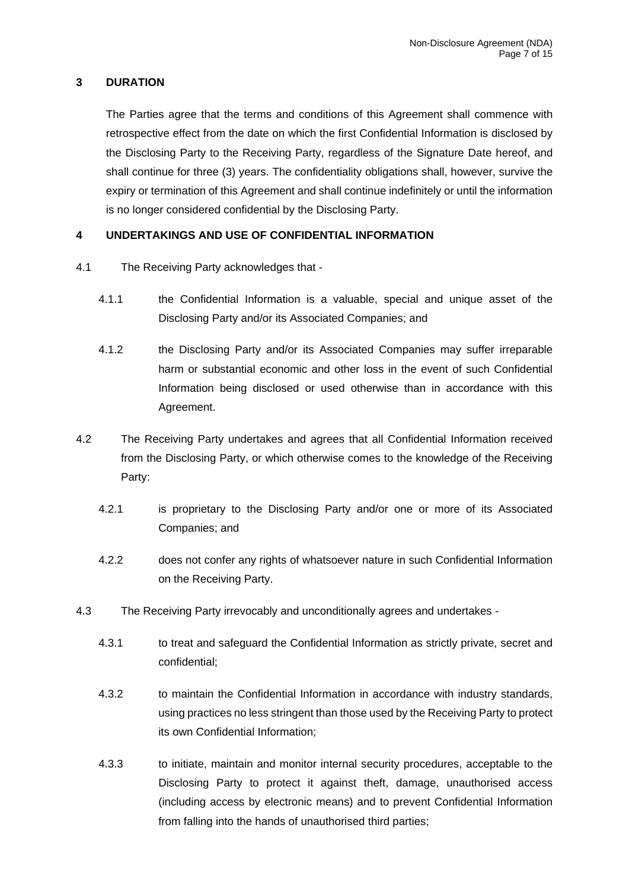## <span id="page-6-0"></span>**3 DURATION**

The Parties agree that the terms and conditions of this Agreement shall commence with retrospective effect from the date on which the first Confidential Information is disclosed by the Disclosing Party to the Receiving Party, regardless of the Signature Date hereof, and shall continue for three (3) years. The confidentiality obligations shall, however, survive the expiry or termination of this Agreement and shall continue indefinitely or until the information is no longer considered confidential by the Disclosing Party.

## <span id="page-6-1"></span>**4 UNDERTAKINGS AND USE OF CONFIDENTIAL INFORMATION**

- 4.1 The Receiving Party acknowledges that
	- 4.1.1 the Confidential Information is a valuable, special and unique asset of the Disclosing Party and/or its Associated Companies; and
	- 4.1.2 the Disclosing Party and/or its Associated Companies may suffer irreparable harm or substantial economic and other loss in the event of such Confidential Information being disclosed or used otherwise than in accordance with this Agreement.
- 4.2 The Receiving Party undertakes and agrees that all Confidential Information received from the Disclosing Party, or which otherwise comes to the knowledge of the Receiving Party:
	- 4.2.1 is proprietary to the Disclosing Party and/or one or more of its Associated Companies; and
	- 4.2.2 does not confer any rights of whatsoever nature in such Confidential Information on the Receiving Party.
- <span id="page-6-2"></span>4.3 The Receiving Party irrevocably and unconditionally agrees and undertakes -
	- 4.3.1 to treat and safeguard the Confidential Information as strictly private, secret and confidential;
	- 4.3.2 to maintain the Confidential Information in accordance with industry standards, using practices no less stringent than those used by the Receiving Party to protect its own Confidential Information;
	- 4.3.3 to initiate, maintain and monitor internal security procedures, acceptable to the Disclosing Party to protect it against theft, damage, unauthorised access (including access by electronic means) and to prevent Confidential Information from falling into the hands of unauthorised third parties;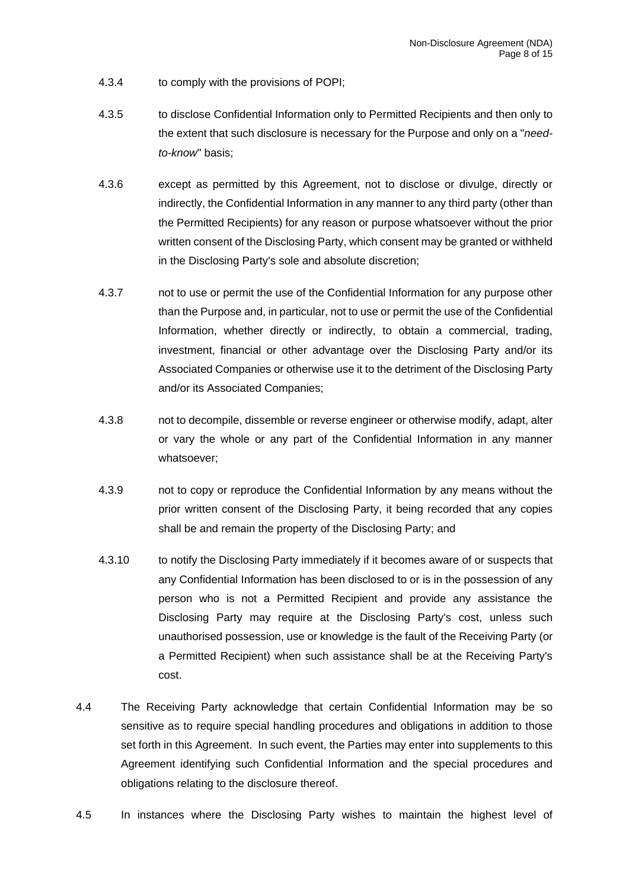- 4.3.4 to comply with the provisions of POPI;
- 4.3.5 to disclose Confidential Information only to Permitted Recipients and then only to the extent that such disclosure is necessary for the Purpose and only on a "*needto-know*" basis;
- 4.3.6 except as permitted by this Agreement, not to disclose or divulge, directly or indirectly, the Confidential Information in any manner to any third party (other than the Permitted Recipients) for any reason or purpose whatsoever without the prior written consent of the Disclosing Party, which consent may be granted or withheld in the Disclosing Party's sole and absolute discretion;
- 4.3.7 not to use or permit the use of the Confidential Information for any purpose other than the Purpose and, in particular, not to use or permit the use of the Confidential Information, whether directly or indirectly, to obtain a commercial, trading, investment, financial or other advantage over the Disclosing Party and/or its Associated Companies or otherwise use it to the detriment of the Disclosing Party and/or its Associated Companies;
- 4.3.8 not to decompile, dissemble or reverse engineer or otherwise modify, adapt, alter or vary the whole or any part of the Confidential Information in any manner whatsoever;
- 4.3.9 not to copy or reproduce the Confidential Information by any means without the prior written consent of the Disclosing Party, it being recorded that any copies shall be and remain the property of the Disclosing Party; and
- 4.3.10 to notify the Disclosing Party immediately if it becomes aware of or suspects that any Confidential Information has been disclosed to or is in the possession of any person who is not a Permitted Recipient and provide any assistance the Disclosing Party may require at the Disclosing Party's cost, unless such unauthorised possession, use or knowledge is the fault of the Receiving Party (or a Permitted Recipient) when such assistance shall be at the Receiving Party's cost.
- 4.4 The Receiving Party acknowledge that certain Confidential Information may be so sensitive as to require special handling procedures and obligations in addition to those set forth in this Agreement. In such event, the Parties may enter into supplements to this Agreement identifying such Confidential Information and the special procedures and obligations relating to the disclosure thereof.
- 4.5 In instances where the Disclosing Party wishes to maintain the highest level of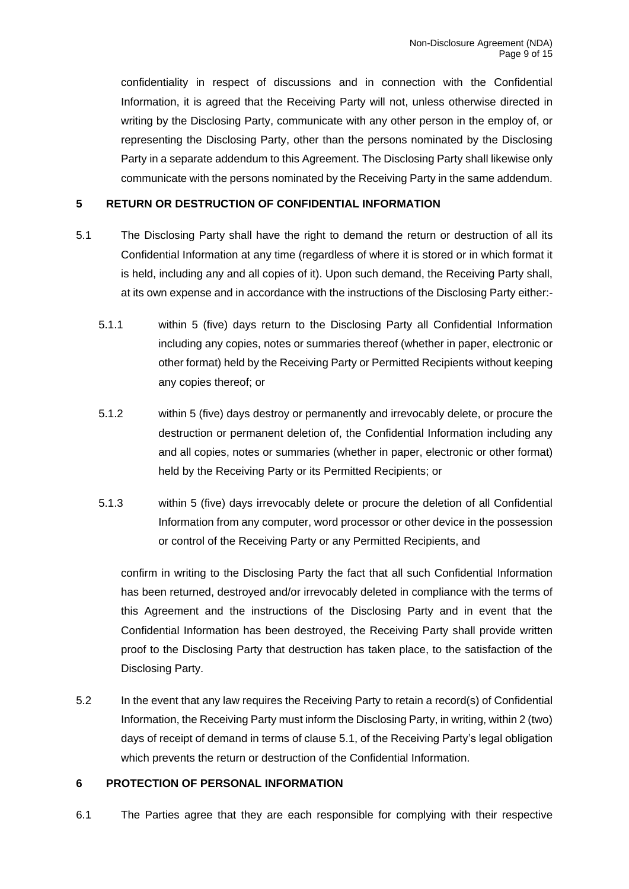confidentiality in respect of discussions and in connection with the Confidential Information, it is agreed that the Receiving Party will not, unless otherwise directed in writing by the Disclosing Party, communicate with any other person in the employ of, or representing the Disclosing Party, other than the persons nominated by the Disclosing Party in a separate addendum to this Agreement. The Disclosing Party shall likewise only communicate with the persons nominated by the Receiving Party in the same addendum.

### <span id="page-8-0"></span>**5 RETURN OR DESTRUCTION OF CONFIDENTIAL INFORMATION**

- 5.1 The Disclosing Party shall have the right to demand the return or destruction of all its Confidential Information at any time (regardless of where it is stored or in which format it is held, including any and all copies of it). Upon such demand, the Receiving Party shall, at its own expense and in accordance with the instructions of the Disclosing Party either:-
	- 5.1.1 within 5 (five) days return to the Disclosing Party all Confidential Information including any copies, notes or summaries thereof (whether in paper, electronic or other format) held by the Receiving Party or Permitted Recipients without keeping any copies thereof; or
	- 5.1.2 within 5 (five) days destroy or permanently and irrevocably delete, or procure the destruction or permanent deletion of, the Confidential Information including any and all copies, notes or summaries (whether in paper, electronic or other format) held by the Receiving Party or its Permitted Recipients; or
	- 5.1.3 within 5 (five) days irrevocably delete or procure the deletion of all Confidential Information from any computer, word processor or other device in the possession or control of the Receiving Party or any Permitted Recipients, and

confirm in writing to the Disclosing Party the fact that all such Confidential Information has been returned, destroyed and/or irrevocably deleted in compliance with the terms of this Agreement and the instructions of the Disclosing Party and in event that the Confidential Information has been destroyed, the Receiving Party shall provide written proof to the Disclosing Party that destruction has taken place, to the satisfaction of the Disclosing Party.

5.2 In the event that any law requires the Receiving Party to retain a record(s) of Confidential Information, the Receiving Party must inform the Disclosing Party, in writing, within 2 (two) days of receipt of demand in terms of clause 5.1, of the Receiving Party's legal obligation which prevents the return or destruction of the Confidential Information.

### <span id="page-8-1"></span>**6 PROTECTION OF PERSONAL INFORMATION**

6.1 The Parties agree that they are each responsible for complying with their respective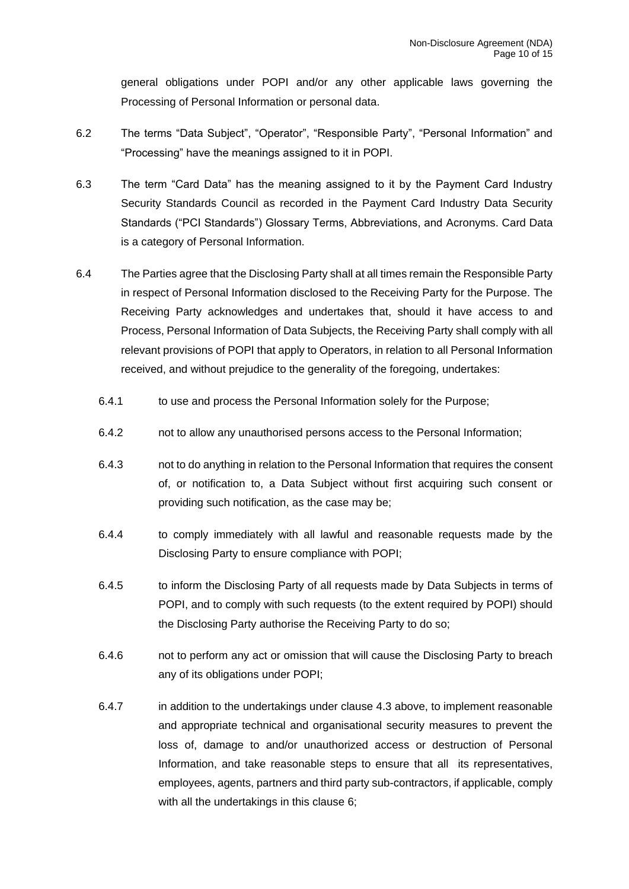general obligations under POPI and/or any other applicable laws governing the Processing of Personal Information or personal data.

- 6.2 The terms "Data Subject", "Operator", "Responsible Party", "Personal Information" and "Processing" have the meanings assigned to it in POPI.
- 6.3 The term "Card Data" has the meaning assigned to it by the Payment Card Industry Security Standards Council as recorded in the Payment Card Industry Data Security Standards ("PCI Standards") Glossary Terms, Abbreviations, and Acronyms. Card Data is a category of Personal Information.
- 6.4 The Parties agree that the Disclosing Party shall at all times remain the Responsible Party in respect of Personal Information disclosed to the Receiving Party for the Purpose. The Receiving Party acknowledges and undertakes that, should it have access to and Process, Personal Information of Data Subjects, the Receiving Party shall comply with all relevant provisions of POPI that apply to Operators, in relation to all Personal Information received, and without prejudice to the generality of the foregoing, undertakes:
	- 6.4.1 to use and process the Personal Information solely for the Purpose;
	- 6.4.2 not to allow any unauthorised persons access to the Personal Information;
	- 6.4.3 not to do anything in relation to the Personal Information that requires the consent of, or notification to, a Data Subject without first acquiring such consent or providing such notification, as the case may be;
	- 6.4.4 to comply immediately with all lawful and reasonable requests made by the Disclosing Party to ensure compliance with POPI;
	- 6.4.5 to inform the Disclosing Party of all requests made by Data Subjects in terms of POPI, and to comply with such requests (to the extent required by POPI) should the Disclosing Party authorise the Receiving Party to do so;
	- 6.4.6 not to perform any act or omission that will cause the Disclosing Party to breach any of its obligations under POPI;
	- 6.4.7 in addition to the undertakings under clause [4.3](#page-6-2) above, to implement reasonable and appropriate technical and organisational security measures to prevent the loss of, damage to and/or unauthorized access or destruction of Personal Information, and take reasonable steps to ensure that all its representatives, employees, agents, partners and third party sub-contractors, if applicable, comply with all the undertakings in this clause [6;](#page-8-1)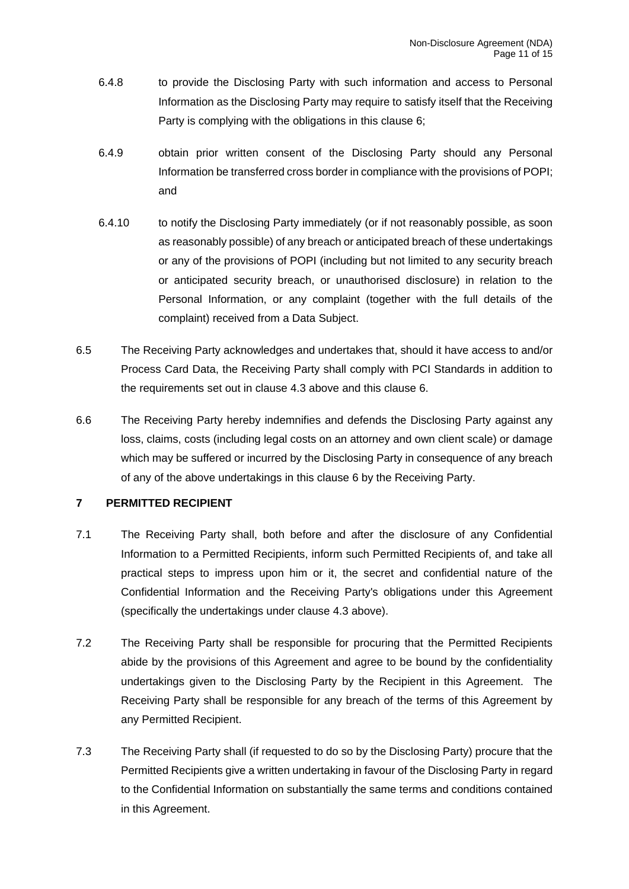- 6.4.8 to provide the Disclosing Party with such information and access to Personal Information as the Disclosing Party may require to satisfy itself that the Receiving Party is complying with the obligations in this clause [6;](#page-8-1)
- 6.4.9 obtain prior written consent of the Disclosing Party should any Personal Information be transferred cross border in compliance with the provisions of POPI; and
- 6.4.10 to notify the Disclosing Party immediately (or if not reasonably possible, as soon as reasonably possible) of any breach or anticipated breach of these undertakings or any of the provisions of POPI (including but not limited to any security breach or anticipated security breach, or unauthorised disclosure) in relation to the Personal Information, or any complaint (together with the full details of the complaint) received from a Data Subject.
- 6.5 The Receiving Party acknowledges and undertakes that, should it have access to and/or Process Card Data, the Receiving Party shall comply with PCI Standards in addition to the requirements set out in clause 4.3 above and this clause 6.
- 6.6 The Receiving Party hereby indemnifies and defends the Disclosing Party against any loss, claims, costs (including legal costs on an attorney and own client scale) or damage which may be suffered or incurred by the Disclosing Party in consequence of any breach of any of the above undertakings in this clause [6](#page-8-1) by the Receiving Party.

## <span id="page-10-0"></span>**7 PERMITTED RECIPIENT**

- 7.1 The Receiving Party shall, both before and after the disclosure of any Confidential Information to a Permitted Recipients, inform such Permitted Recipients of, and take all practical steps to impress upon him or it, the secret and confidential nature of the Confidential Information and the Receiving Party's obligations under this Agreement (specifically the undertakings under clause [4.3](#page-6-2) above).
- 7.2 The Receiving Party shall be responsible for procuring that the Permitted Recipients abide by the provisions of this Agreement and agree to be bound by the confidentiality undertakings given to the Disclosing Party by the Recipient in this Agreement. The Receiving Party shall be responsible for any breach of the terms of this Agreement by any Permitted Recipient.
- <span id="page-10-1"></span>7.3 The Receiving Party shall (if requested to do so by the Disclosing Party) procure that the Permitted Recipients give a written undertaking in favour of the Disclosing Party in regard to the Confidential Information on substantially the same terms and conditions contained in this Agreement.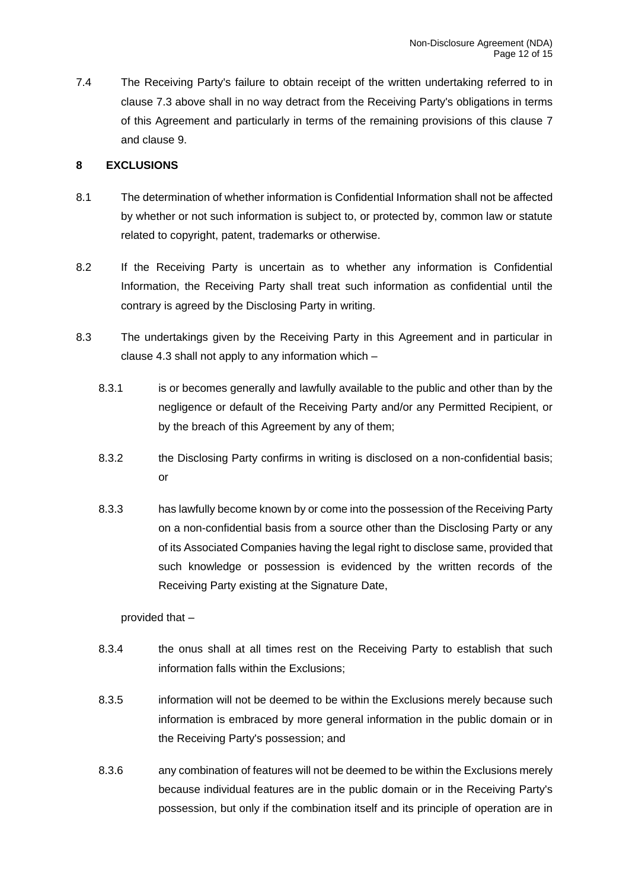7.4 The Receiving Party's failure to obtain receipt of the written undertaking referred to in clause [7.3](#page-10-1) above shall in no way detract from the Receiving Party's obligations in terms of this Agreement and particularly in terms of the remaining provisions of this clause [7](#page-10-0) and clause [9.](#page-12-0)

### <span id="page-11-0"></span>**8 EXCLUSIONS**

- 8.1 The determination of whether information is Confidential Information shall not be affected by whether or not such information is subject to, or protected by, common law or statute related to copyright, patent, trademarks or otherwise.
- 8.2 If the Receiving Party is uncertain as to whether any information is Confidential Information, the Receiving Party shall treat such information as confidential until the contrary is agreed by the Disclosing Party in writing.
- 8.3 The undertakings given by the Receiving Party in this Agreement and in particular in clause [4.3](#page-6-2) shall not apply to any information which –
	- 8.3.1 is or becomes generally and lawfully available to the public and other than by the negligence or default of the Receiving Party and/or any Permitted Recipient, or by the breach of this Agreement by any of them;
	- 8.3.2 the Disclosing Party confirms in writing is disclosed on a non-confidential basis; or
	- 8.3.3 has lawfully become known by or come into the possession of the Receiving Party on a non-confidential basis from a source other than the Disclosing Party or any of its Associated Companies having the legal right to disclose same, provided that such knowledge or possession is evidenced by the written records of the Receiving Party existing at the Signature Date,

## provided that –

- 8.3.4 the onus shall at all times rest on the Receiving Party to establish that such information falls within the Exclusions;
- 8.3.5 information will not be deemed to be within the Exclusions merely because such information is embraced by more general information in the public domain or in the Receiving Party's possession; and
- 8.3.6 any combination of features will not be deemed to be within the Exclusions merely because individual features are in the public domain or in the Receiving Party's possession, but only if the combination itself and its principle of operation are in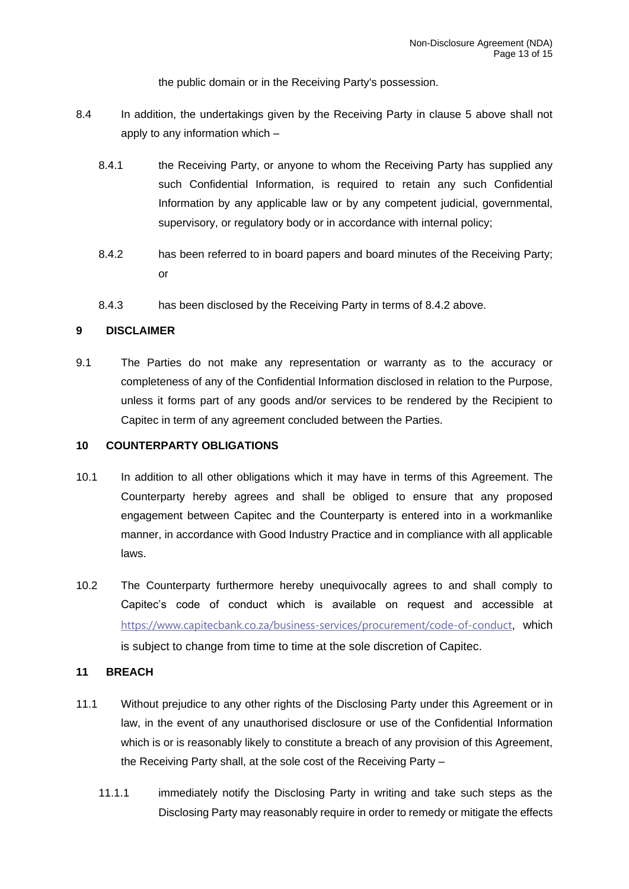the public domain or in the Receiving Party's possession.

- 8.4 In addition, the undertakings given by the Receiving Party in clause 5 above shall not apply to any information which –
	- 8.4.1 the Receiving Party, or anyone to whom the Receiving Party has supplied any such Confidential Information, is required to retain any such Confidential Information by any applicable law or by any competent judicial, governmental, supervisory, or regulatory body or in accordance with internal policy;
	- 8.4.2 has been referred to in board papers and board minutes of the Receiving Party; or
	- 8.4.3 has been disclosed by the Receiving Party in terms of 8.4.2 above.

### <span id="page-12-0"></span>**9 DISCLAIMER**

9.1 The Parties do not make any representation or warranty as to the accuracy or completeness of any of the Confidential Information disclosed in relation to the Purpose, unless it forms part of any goods and/or services to be rendered by the Recipient to Capitec in term of any agreement concluded between the Parties.

### <span id="page-12-1"></span>**10 COUNTERPARTY OBLIGATIONS**

- 10.1 In addition to all other obligations which it may have in terms of this Agreement. The Counterparty hereby agrees and shall be obliged to ensure that any proposed engagement between Capitec and the Counterparty is entered into in a workmanlike manner, in accordance with Good Industry Practice and in compliance with all applicable laws.
- 10.2 The Counterparty furthermore hereby unequivocally agrees to and shall comply to Capitec's code of conduct which is available on request and accessible at <https://www.capitecbank.co.za/business-services/procurement/code-of-conduct>, which is subject to change from time to time at the sole discretion of Capitec.

#### <span id="page-12-2"></span>**11 BREACH**

- 11.1 Without prejudice to any other rights of the Disclosing Party under this Agreement or in law, in the event of any unauthorised disclosure or use of the Confidential Information which is or is reasonably likely to constitute a breach of any provision of this Agreement, the Receiving Party shall, at the sole cost of the Receiving Party –
	- 11.1.1 immediately notify the Disclosing Party in writing and take such steps as the Disclosing Party may reasonably require in order to remedy or mitigate the effects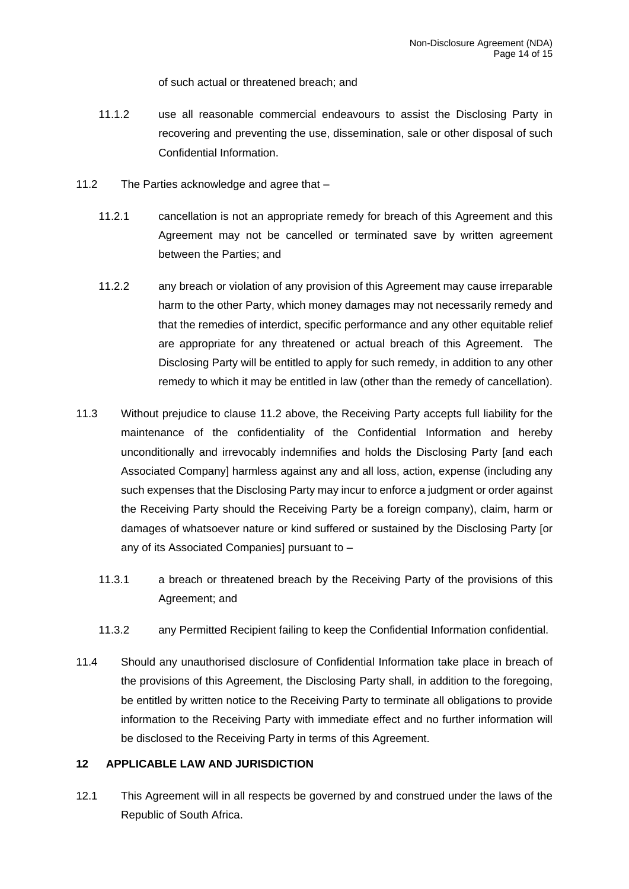of such actual or threatened breach; and

- 11.1.2 use all reasonable commercial endeavours to assist the Disclosing Party in recovering and preventing the use, dissemination, sale or other disposal of such Confidential Information.
- <span id="page-13-1"></span>11.2 The Parties acknowledge and agree that –
	- 11.2.1 cancellation is not an appropriate remedy for breach of this Agreement and this Agreement may not be cancelled or terminated save by written agreement between the Parties; and
	- 11.2.2 any breach or violation of any provision of this Agreement may cause irreparable harm to the other Party, which money damages may not necessarily remedy and that the remedies of interdict, specific performance and any other equitable relief are appropriate for any threatened or actual breach of this Agreement. The Disclosing Party will be entitled to apply for such remedy, in addition to any other remedy to which it may be entitled in law (other than the remedy of cancellation).
- 11.3 Without prejudice to clause [11.2](#page-13-1) above, the Receiving Party accepts full liability for the maintenance of the confidentiality of the Confidential Information and hereby unconditionally and irrevocably indemnifies and holds the Disclosing Party [and each Associated Company] harmless against any and all loss, action, expense (including any such expenses that the Disclosing Party may incur to enforce a judgment or order against the Receiving Party should the Receiving Party be a foreign company), claim, harm or damages of whatsoever nature or kind suffered or sustained by the Disclosing Party [or any of its Associated Companies] pursuant to –
	- 11.3.1 a breach or threatened breach by the Receiving Party of the provisions of this Agreement; and
	- 11.3.2 any Permitted Recipient failing to keep the Confidential Information confidential.
- 11.4 Should any unauthorised disclosure of Confidential Information take place in breach of the provisions of this Agreement, the Disclosing Party shall, in addition to the foregoing, be entitled by written notice to the Receiving Party to terminate all obligations to provide information to the Receiving Party with immediate effect and no further information will be disclosed to the Receiving Party in terms of this Agreement.

### <span id="page-13-0"></span>**12 APPLICABLE LAW AND JURISDICTION**

12.1 This Agreement will in all respects be governed by and construed under the laws of the Republic of South Africa.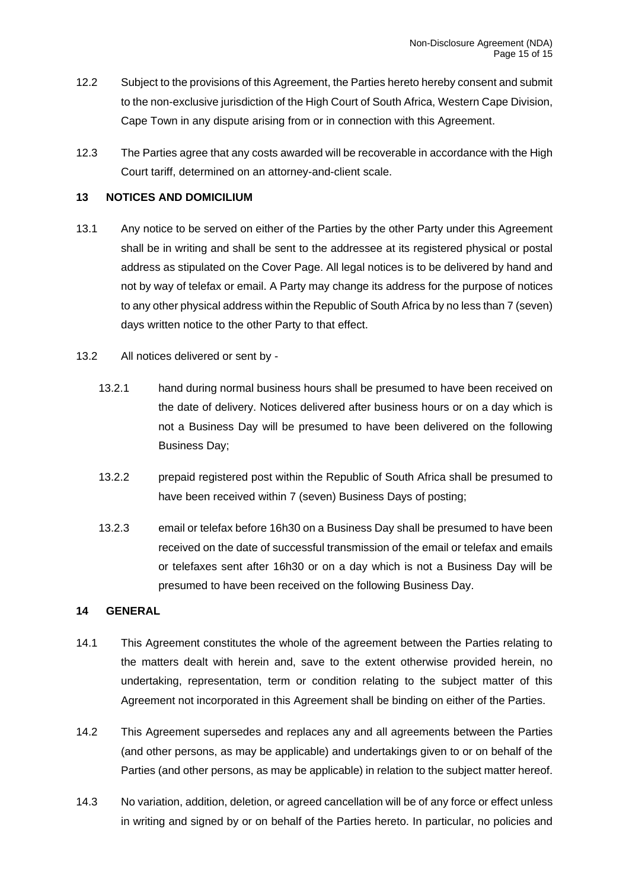- 12.2 Subject to the provisions of this Agreement, the Parties hereto hereby consent and submit to the non-exclusive jurisdiction of the High Court of South Africa, Western Cape Division, Cape Town in any dispute arising from or in connection with this Agreement.
- 12.3 The Parties agree that any costs awarded will be recoverable in accordance with the High Court tariff, determined on an attorney-and-client scale.

## <span id="page-14-0"></span>**13 NOTICES AND DOMICILIUM**

- 13.1 Any notice to be served on either of the Parties by the other Party under this Agreement shall be in writing and shall be sent to the addressee at its registered physical or postal address as stipulated on the Cover Page. All legal notices is to be delivered by hand and not by way of telefax or email. A Party may change its address for the purpose of notices to any other physical address within the Republic of South Africa by no less than 7 (seven) days written notice to the other Party to that effect.
- 13.2 All notices delivered or sent by
	- 13.2.1 hand during normal business hours shall be presumed to have been received on the date of delivery. Notices delivered after business hours or on a day which is not a Business Day will be presumed to have been delivered on the following Business Day;
	- 13.2.2 prepaid registered post within the Republic of South Africa shall be presumed to have been received within 7 (seven) Business Days of posting;
	- 13.2.3 email or telefax before 16h30 on a Business Day shall be presumed to have been received on the date of successful transmission of the email or telefax and emails or telefaxes sent after 16h30 or on a day which is not a Business Day will be presumed to have been received on the following Business Day.

#### <span id="page-14-1"></span>**14 GENERAL**

- 14.1 This Agreement constitutes the whole of the agreement between the Parties relating to the matters dealt with herein and, save to the extent otherwise provided herein, no undertaking, representation, term or condition relating to the subject matter of this Agreement not incorporated in this Agreement shall be binding on either of the Parties.
- 14.2 This Agreement supersedes and replaces any and all agreements between the Parties (and other persons, as may be applicable) and undertakings given to or on behalf of the Parties (and other persons, as may be applicable) in relation to the subject matter hereof.
- 14.3 No variation, addition, deletion, or agreed cancellation will be of any force or effect unless in writing and signed by or on behalf of the Parties hereto. In particular, no policies and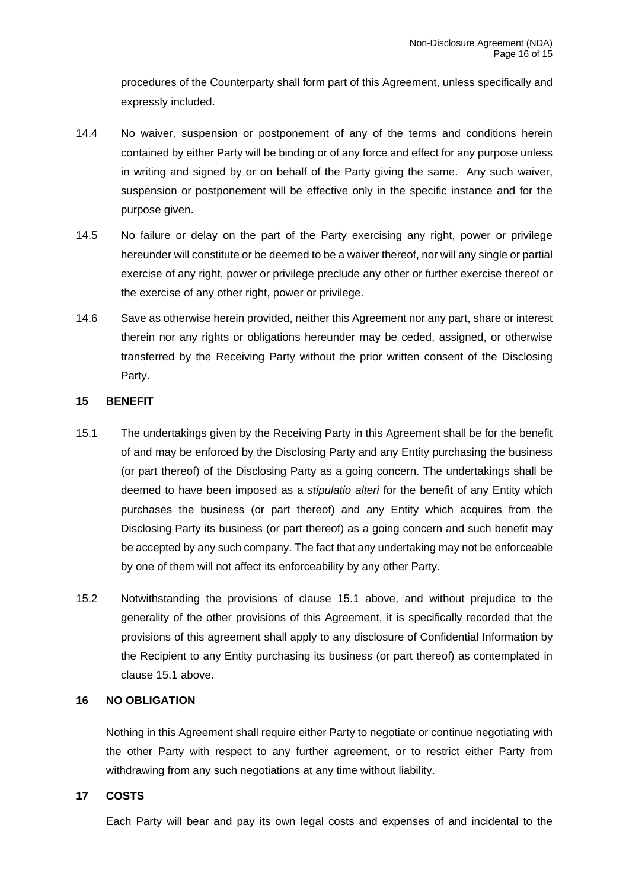procedures of the Counterparty shall form part of this Agreement, unless specifically and expressly included.

- 14.4 No waiver, suspension or postponement of any of the terms and conditions herein contained by either Party will be binding or of any force and effect for any purpose unless in writing and signed by or on behalf of the Party giving the same. Any such waiver, suspension or postponement will be effective only in the specific instance and for the purpose given.
- 14.5 No failure or delay on the part of the Party exercising any right, power or privilege hereunder will constitute or be deemed to be a waiver thereof, nor will any single or partial exercise of any right, power or privilege preclude any other or further exercise thereof or the exercise of any other right, power or privilege.
- 14.6 Save as otherwise herein provided, neither this Agreement nor any part, share or interest therein nor any rights or obligations hereunder may be ceded, assigned, or otherwise transferred by the Receiving Party without the prior written consent of the Disclosing Party.

### <span id="page-15-0"></span>**15 BENEFIT**

- <span id="page-15-3"></span>15.1 The undertakings given by the Receiving Party in this Agreement shall be for the benefit of and may be enforced by the Disclosing Party and any Entity purchasing the business (or part thereof) of the Disclosing Party as a going concern. The undertakings shall be deemed to have been imposed as a *stipulatio alteri* for the benefit of any Entity which purchases the business (or part thereof) and any Entity which acquires from the Disclosing Party its business (or part thereof) as a going concern and such benefit may be accepted by any such company. The fact that any undertaking may not be enforceable by one of them will not affect its enforceability by any other Party.
- 15.2 Notwithstanding the provisions of clause [15.1](#page-15-3) above, and without prejudice to the generality of the other provisions of this Agreement, it is specifically recorded that the provisions of this agreement shall apply to any disclosure of Confidential Information by the Recipient to any Entity purchasing its business (or part thereof) as contemplated in clause [15.1](#page-15-3) above.

## <span id="page-15-1"></span>**16 NO OBLIGATION**

Nothing in this Agreement shall require either Party to negotiate or continue negotiating with the other Party with respect to any further agreement, or to restrict either Party from withdrawing from any such negotiations at any time without liability.

#### <span id="page-15-2"></span>**17 COSTS**

Each Party will bear and pay its own legal costs and expenses of and incidental to the